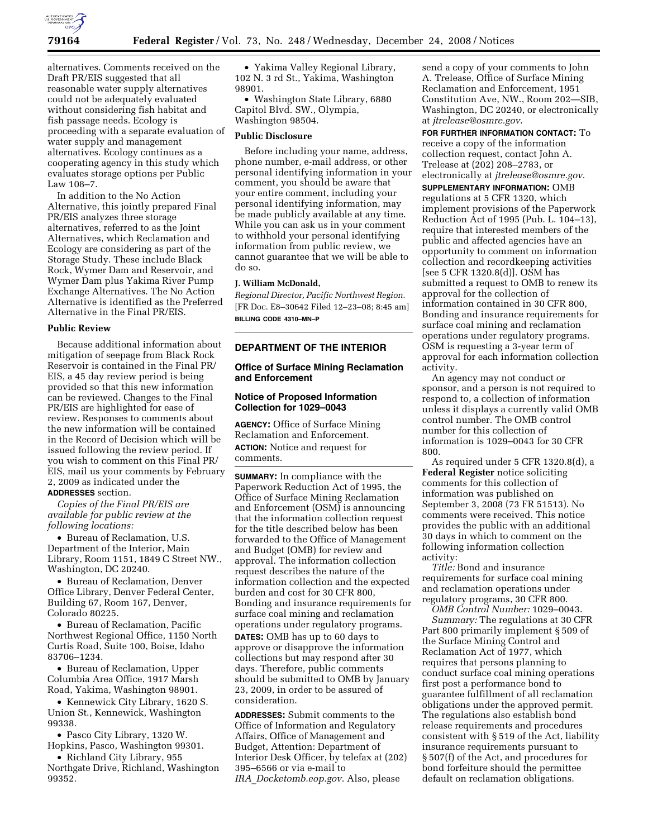

alternatives. Comments received on the Draft PR/EIS suggested that all reasonable water supply alternatives could not be adequately evaluated without considering fish habitat and fish passage needs. Ecology is proceeding with a separate evaluation of water supply and management alternatives. Ecology continues as a cooperating agency in this study which evaluates storage options per Public Law 108–7.

In addition to the No Action Alternative, this jointly prepared Final PR/EIS analyzes three storage alternatives, referred to as the Joint Alternatives, which Reclamation and Ecology are considering as part of the Storage Study. These include Black Rock, Wymer Dam and Reservoir, and Wymer Dam plus Yakima River Pump Exchange Alternatives. The No Action Alternative is identified as the Preferred Alternative in the Final PR/EIS.

#### **Public Review**

Because additional information about mitigation of seepage from Black Rock Reservoir is contained in the Final PR/ EIS, a 45 day review period is being provided so that this new information can be reviewed. Changes to the Final PR/EIS are highlighted for ease of review. Responses to comments about the new information will be contained in the Record of Decision which will be issued following the review period. If you wish to comment on this Final PR/ EIS, mail us your comments by February 2, 2009 as indicated under the **ADDRESSES** section.

*Copies of the Final PR/EIS are available for public review at the following locations:* 

• Bureau of Reclamation, U.S. Department of the Interior, Main Library, Room 1151, 1849 C Street NW., Washington, DC 20240.

• Bureau of Reclamation, Denver Office Library, Denver Federal Center, Building 67, Room 167, Denver, Colorado 80225.

• Bureau of Reclamation, Pacific Northwest Regional Office, 1150 North Curtis Road, Suite 100, Boise, Idaho 83706–1234.

• Bureau of Reclamation, Upper Columbia Area Office, 1917 Marsh Road, Yakima, Washington 98901.

• Kennewick City Library, 1620 S. Union St., Kennewick, Washington 99338.

• Pasco City Library, 1320 W. Hopkins, Pasco, Washington 99301.

• Richland City Library, 955 Northgate Drive, Richland, Washington 99352.

• Yakima Valley Regional Library, 102 N. 3 rd St., Yakima, Washington 98901.

• Washington State Library, 6880 Capitol Blvd. SW., Olympia, Washington 98504.

#### **Public Disclosure**

Before including your name, address, phone number, e-mail address, or other personal identifying information in your comment, you should be aware that your entire comment, including your personal identifying information, may be made publicly available at any time. While you can ask us in your comment to withhold your personal identifying information from public review, we cannot guarantee that we will be able to do so.

### **J. William McDonald,**

*Regional Director, Pacific Northwest Region.*  [FR Doc. E8–30642 Filed 12–23–08; 8:45 am] **BILLING CODE 4310–MN–P** 

## **DEPARTMENT OF THE INTERIOR**

### **Office of Surface Mining Reclamation and Enforcement**

## **Notice of Proposed Information Collection for 1029–0043**

**AGENCY:** Office of Surface Mining Reclamation and Enforcement. **ACTION:** Notice and request for comments.

**SUMMARY:** In compliance with the Paperwork Reduction Act of 1995, the Office of Surface Mining Reclamation and Enforcement (OSM) is announcing that the information collection request for the title described below has been forwarded to the Office of Management and Budget (OMB) for review and approval. The information collection request describes the nature of the information collection and the expected burden and cost for 30 CFR 800, Bonding and insurance requirements for surface coal mining and reclamation operations under regulatory programs.

**DATES:** OMB has up to 60 days to approve or disapprove the information collections but may respond after 30 days. Therefore, public comments should be submitted to OMB by January 23, 2009, in order to be assured of consideration.

**ADDRESSES:** Submit comments to the Office of Information and Regulatory Affairs, Office of Management and Budget, Attention: Department of Interior Desk Officer, by telefax at (202) 395–6566 or via e-mail to *IRA*\_*Docketomb.eop.gov*. Also, please

send a copy of your comments to John A. Trelease, Office of Surface Mining Reclamation and Enforcement, 1951 Constitution Ave, NW., Room 202—SIB, Washington, DC 20240, or electronically at *jtrelease@osmre.gov*.

**FOR FURTHER INFORMATION CONTACT:** To receive a copy of the information collection request, contact John A. Trelease at (202) 208–2783, or electronically at *jtrelease@osmre.gov*.

**SUPPLEMENTARY INFORMATION:** OMB regulations at 5 CFR 1320, which implement provisions of the Paperwork Reduction Act of 1995 (Pub. L. 104–13), require that interested members of the public and affected agencies have an opportunity to comment on information collection and recordkeeping activities [see 5 CFR 1320.8(d)]. OSM has submitted a request to OMB to renew its approval for the collection of information contained in 30 CFR 800, Bonding and insurance requirements for surface coal mining and reclamation operations under regulatory programs. OSM is requesting a 3-year term of approval for each information collection activity.

An agency may not conduct or sponsor, and a person is not required to respond to, a collection of information unless it displays a currently valid OMB control number. The OMB control number for this collection of information is 1029–0043 for 30 CFR 800.

As required under 5 CFR 1320.8(d), a **Federal Register** notice soliciting comments for this collection of information was published on September 3, 2008 (73 FR 51513). No comments were received. This notice provides the public with an additional 30 days in which to comment on the following information collection activity:

*Title:* Bond and insurance requirements for surface coal mining and reclamation operations under regulatory programs, 30 CFR 800.

*OMB Control Number:* 1029–0043. *Summary:* The regulations at 30 CFR Part 800 primarily implement § 509 of the Surface Mining Control and Reclamation Act of 1977, which requires that persons planning to conduct surface coal mining operations first post a performance bond to guarantee fulfillment of all reclamation obligations under the approved permit. The regulations also establish bond release requirements and procedures consistent with § 519 of the Act, liability insurance requirements pursuant to § 507(f) of the Act, and procedures for bond forfeiture should the permittee default on reclamation obligations.